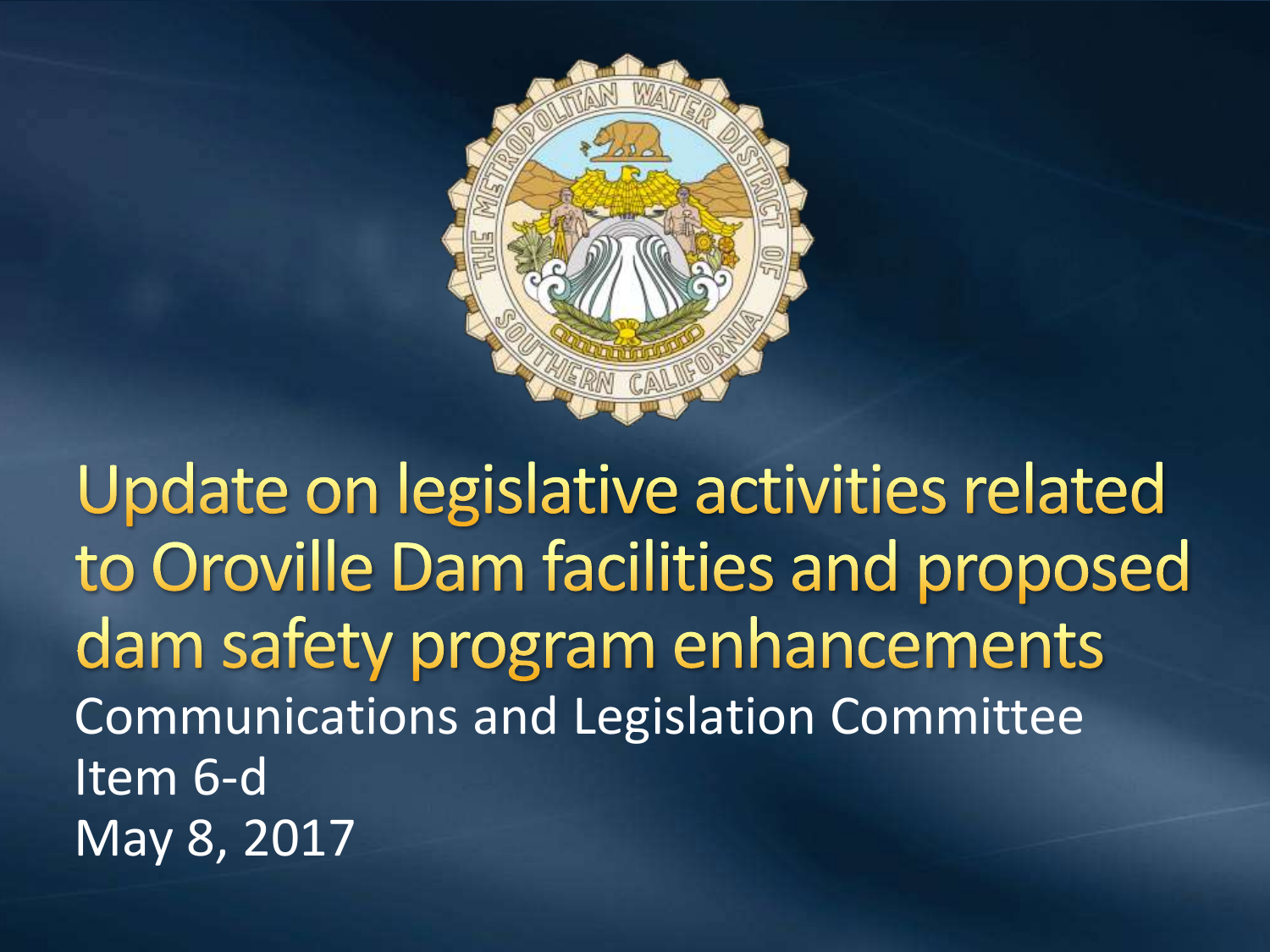

Update on legislative activities related to Oroville Dam facilities and proposed dam safety program enhancements Communications and Legislation Committee Item 6-d May 8, 2017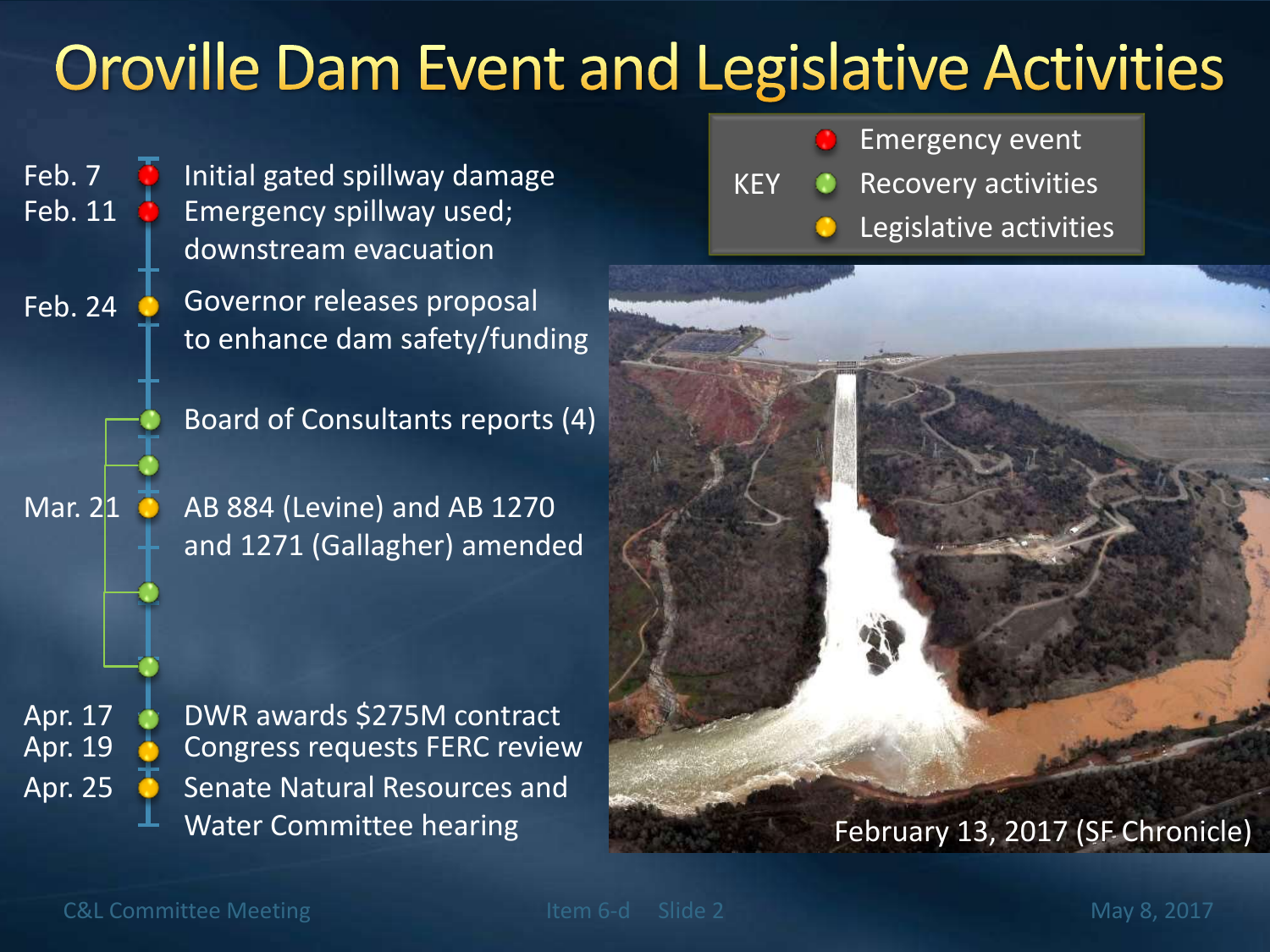#### **Oroville Dam Event and Legislative Activities**

Feb. 7 **D** Initial gated spillway damage Emergency spillway used; downstream evacuation Feb. 11

> Governor releases proposal to enhance dam safety/funding

> > Board of Consultants reports (4)

AB 884 (Levine) and AB 1270 and 1271 (Gallagher) amended

Senate Natural Resources and Water Committee hearing Apr. 25 Apr. 19 Congress requests FERC review Apr. 17 DWR awards \$275M contract

Emergency event Legislative activities KEY Recovery activities



#### February 13, 2017 (SF Chronicle)

C&L Committee Meeting The Theorem 2 May 8, 2017

Feb. 24

Mar. 21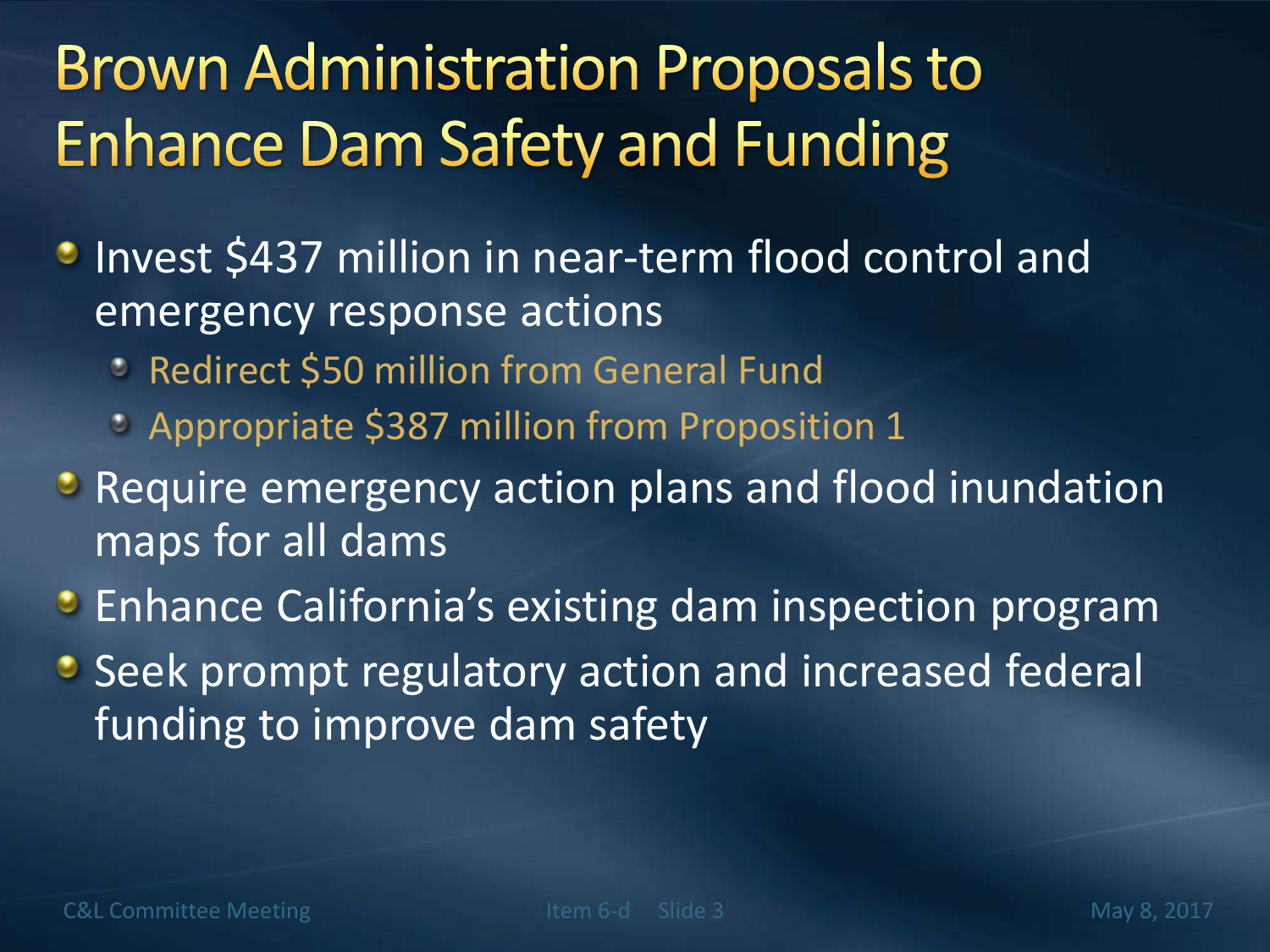## **Brown Administration Proposals to Enhance Dam Safety and Funding**

- **Invest \$437 million in near-term flood control and** emergency response actions
	- **BED Redirect \$50 million from General Fund**
	- **Appropriate \$387 million from Proposition 1**
- **Require emergency action plans and flood inundation** maps for all dams
- **•** Enhance California's existing dam inspection program
- **Seek prompt regulatory action and increased federal** funding to improve dam safety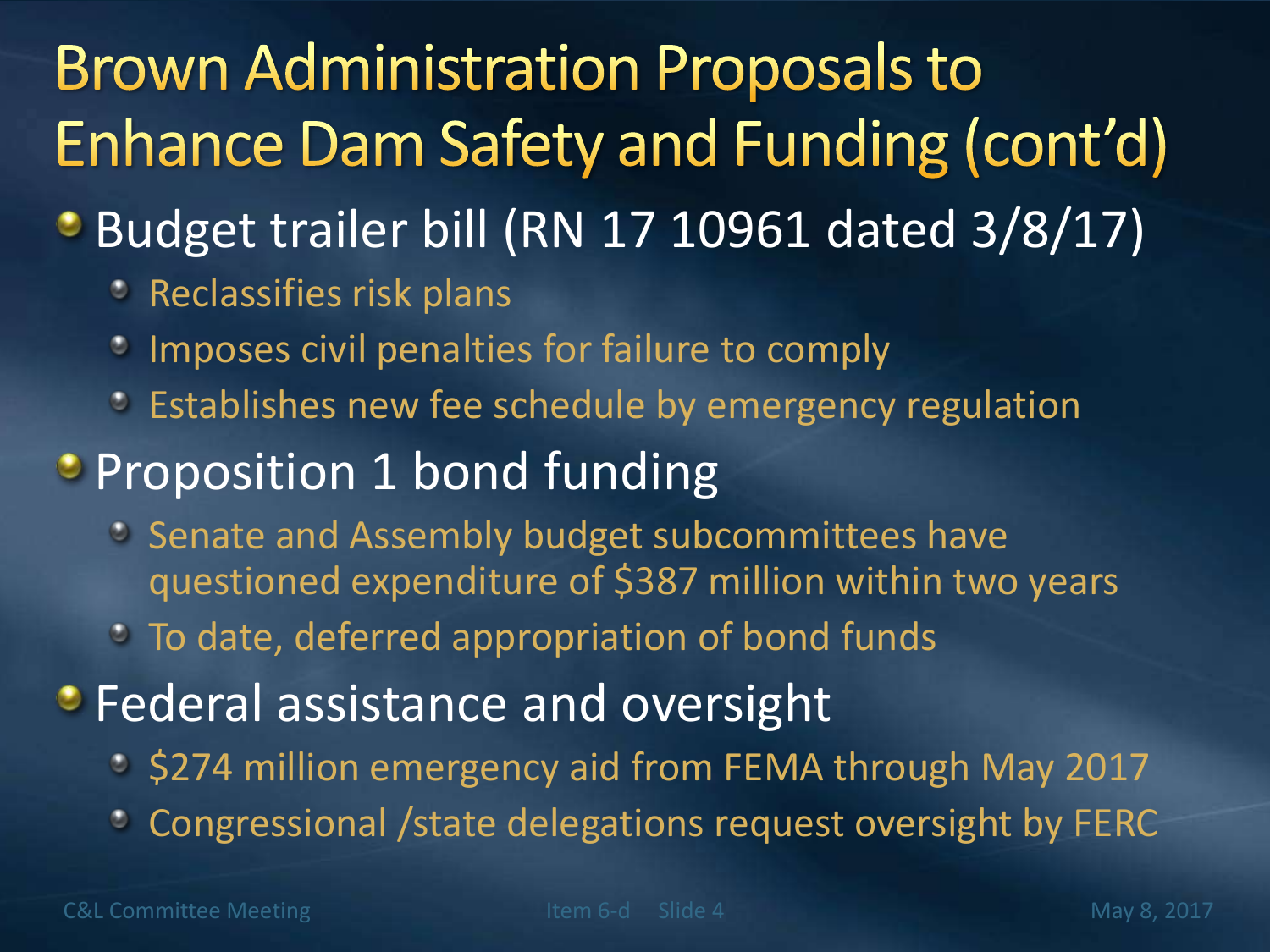## **Brown Administration Proposals to** Enhance Dam Safety and Funding (cont'd)

- Budget trailer bill (RN 17 10961 dated 3/8/17)
	- **Reclassifies risk plans**
	- **Imposes civil penalties for failure to comply**
	- Establishes new fee schedule by emergency regulation
- **Proposition 1 bond funding** 
	- Senate and Assembly budget subcommittees have questioned expenditure of \$387 million within two years
	- To date, deferred appropriation of bond funds
- **Federal assistance and oversight** 
	- \$274 million emergency aid from FEMA through May 2017
	- Congressional /state delegations request oversight by FERC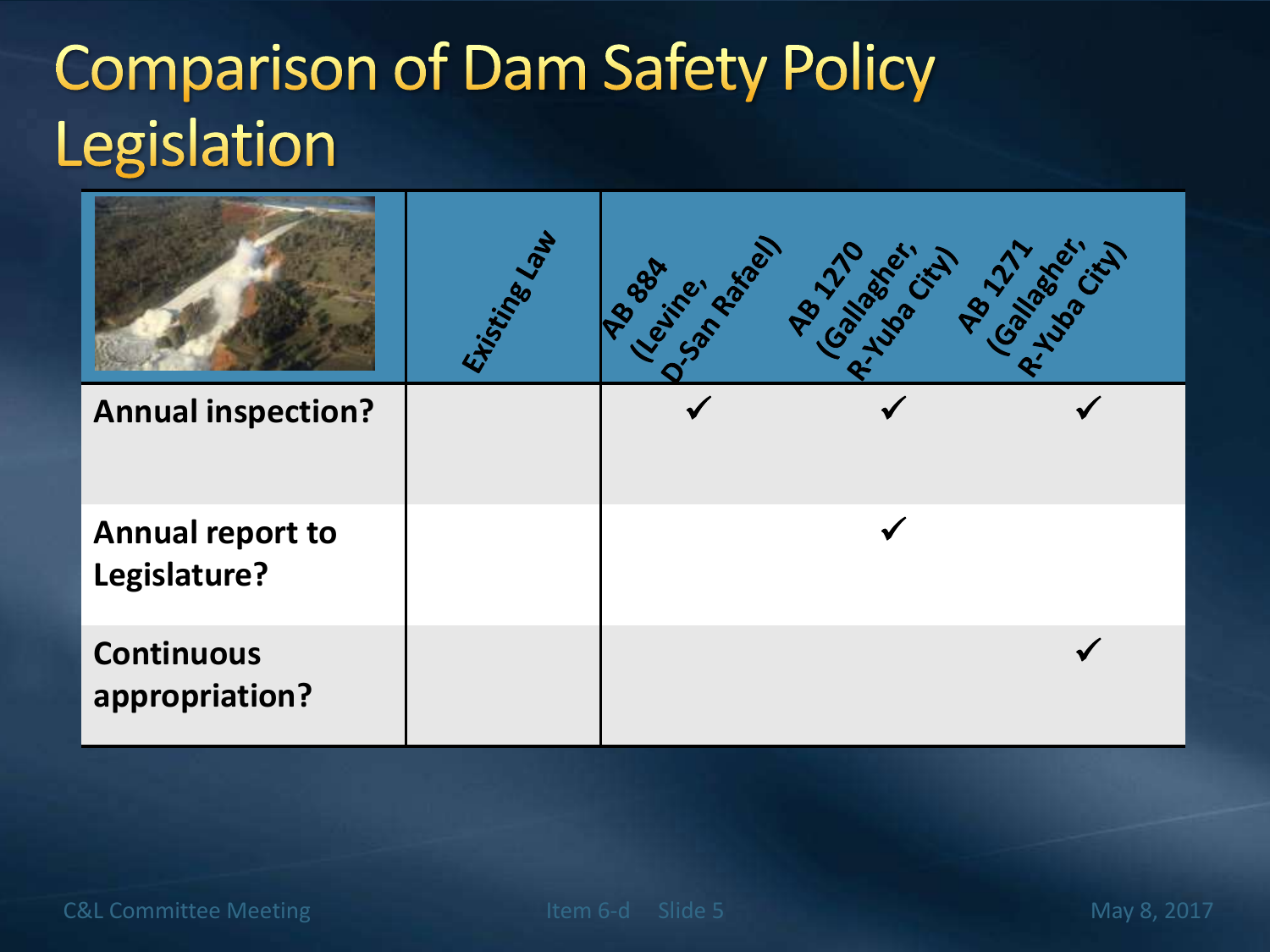## **Comparison of Dam Safety Policy** Legislation

|                                         | Histingelah | People resident | <b>PROGRESSION PROFILIPS</b> |
|-----------------------------------------|-------------|-----------------|------------------------------|
| <b>Annual inspection?</b>               |             |                 |                              |
| <b>Annual report to</b><br>Legislature? |             |                 |                              |
| <b>Continuous</b><br>appropriation?     |             |                 |                              |

C&L Committee Meeting The Term of them 6-d Slide 5 May 8, 2017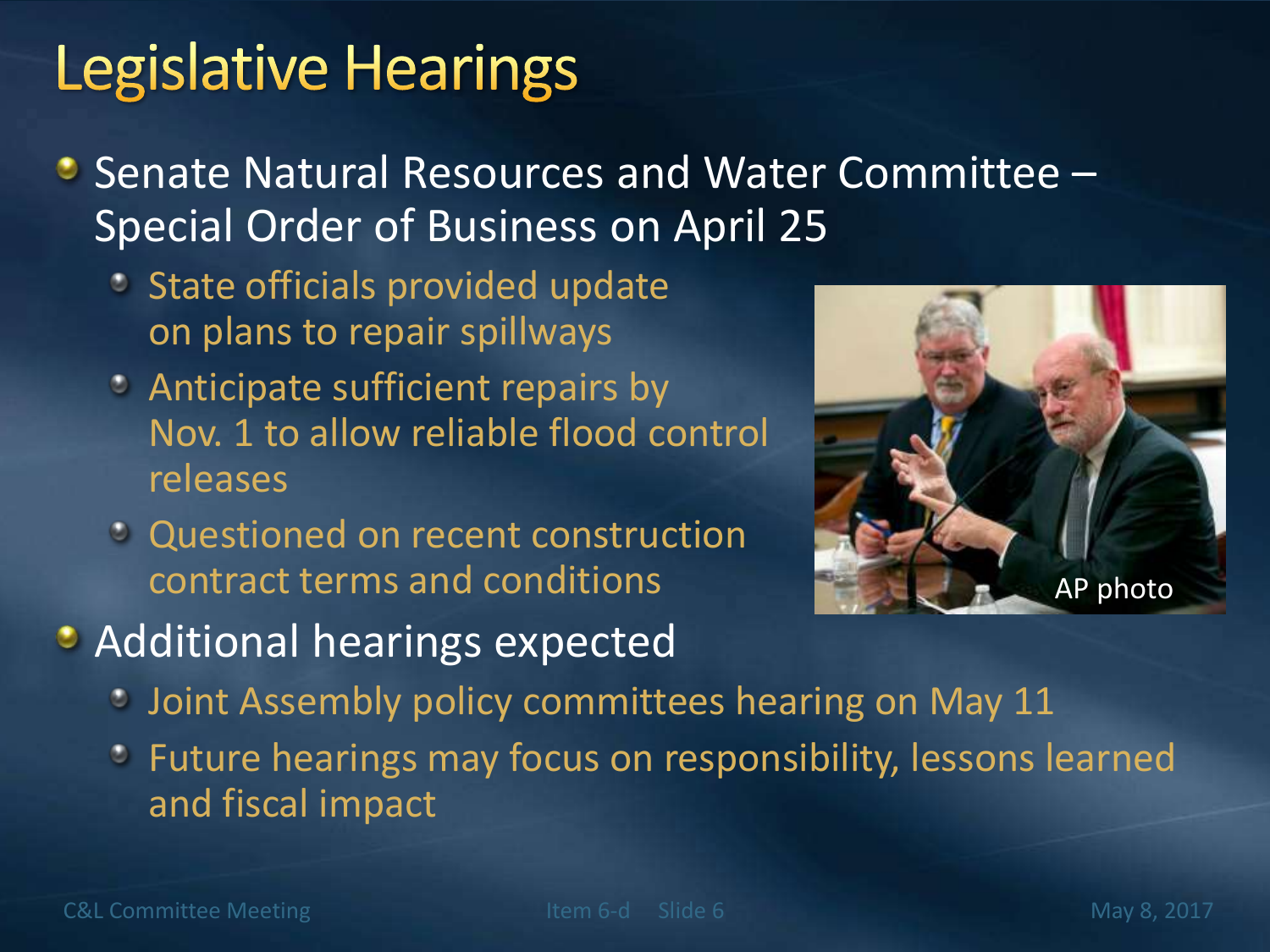#### **Legislative Hearings**

- Senate Natural Resources and Water Committee -Special Order of Business on April 25
	- State officials provided update on plans to repair spillways
	- Anticipate sufficient repairs by Nov. 1 to allow reliable flood control releases
	- Questioned on recent construction contract terms and conditions



- **Additional hearings expected** 
	- **Joint Assembly policy committees hearing on May 11**
	- Future hearings may focus on responsibility, lessons learned and fiscal impact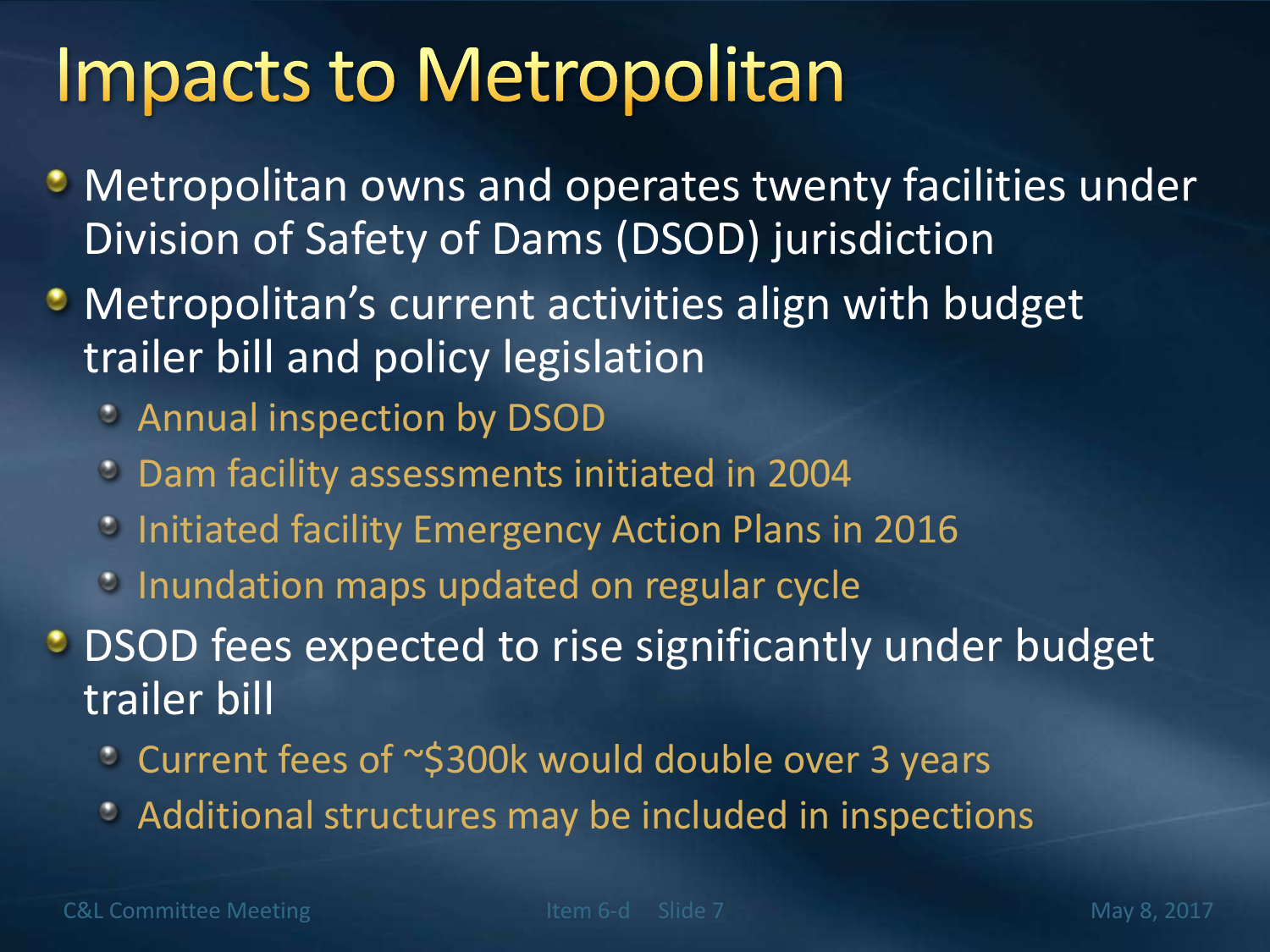# **Impacts to Metropolitan**

- **Metropolitan owns and operates twenty facilities under** Division of Safety of Dams (DSOD) jurisdiction
- **Metropolitan's current activities align with budget** trailer bill and policy legislation
	- Annual inspection by DSOD
	- Dam facility assessments initiated in 2004
	- Initiated facility Emergency Action Plans in 2016
	- **Inundation maps updated on regular cycle**

**DISOD** fees expected to rise significantly under budget trailer bill

- Current fees of ~\$300k would double over 3 years
- Additional structures may be included in inspections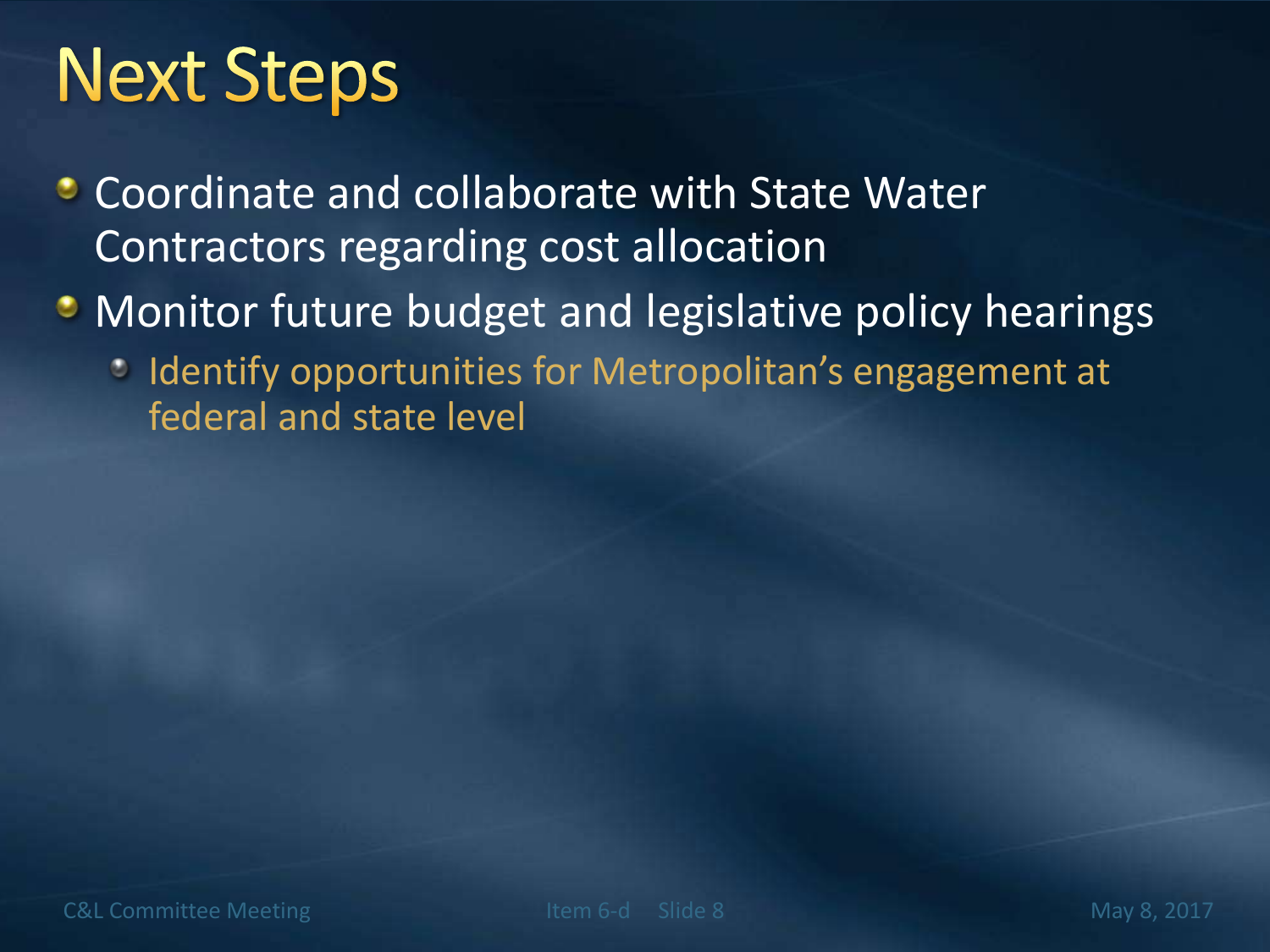# **Next Steps**

- **Coordinate and collaborate with State Water** Contractors regarding cost allocation
- **Monitor future budget and legislative policy hearings** 
	- Indentify opportunities for Metropolitan's engagement at federal and state level